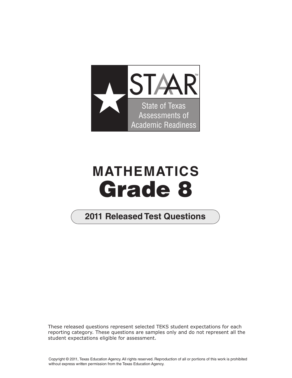

## **MATHEMATICS Grade 8**

## **2011 Released Test Questions**

These released questions represent selected TEKS student expectations for each reporting category. These questions are samples only and do not represent all the student expectations eligible for assessment.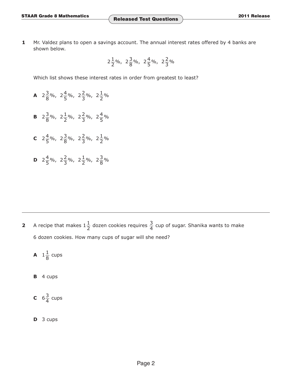**1** Mr. Valdez plans to open a savings account. The annual interest rates offered by 4 banks are shown below.

$$
2\frac{1}{2}\%
$$
,  $2\frac{3}{8}\%$ ,  $2\frac{4}{5}\%$ ,  $2\frac{2}{3}\%$ 

Which list shows these interest rates in order from greatest to least?

- **A**  $2\frac{3}{8}\%$ ,  $2\frac{4}{5}\%$ ,  $2\frac{2}{3}\%$ ,  $2\frac{1}{2}\%$
- **B**  $2\frac{3}{8}\%$ ,  $2\frac{1}{2}\%$ ,  $2\frac{2}{3}\%$ ,  $2\frac{4}{5}\%$
- **c**  $2\frac{4}{5}\%$ ,  $2\frac{3}{8}\%$ ,  $2\frac{2}{3}\%$ ,  $2\frac{1}{2}\%$
- **D**  $2\frac{4}{5}\%$ ,  $2\frac{2}{3}\%$ ,  $2\frac{1}{2}\%$ ,  $2\frac{3}{8}\%$

**2** A recipe that makes  $1\frac{1}{2}$  dozen cookies requires  $\frac{3}{4}$  cup of sugar. Shanika wants to make 6 dozen cookies. How many cups of sugar will she need?

$$
A \quad 1\frac{1}{8} \text{ cups}
$$

- **B** 4 cups
- **C**  $6\frac{3}{4}$  cups
- **D** 3 cups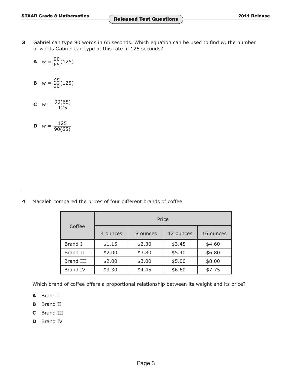**3** Gabriel can type 90 words in 65 seconds. Which equation can be used to find *w*, the number of words Gabriel can type at this rate in 125 seconds?

**A** 
$$
w = \frac{90}{65}(125)
$$

**B** 
$$
w = \frac{65}{90}(125)
$$

**C**  $w = \frac{90(65)}{125}$ 

**D** 
$$
w = \frac{125}{90(65)}
$$

**4** Macaleh compared the prices of four different brands of coffee.

| Coffee           | Price    |          |           |           |  |  |
|------------------|----------|----------|-----------|-----------|--|--|
|                  | 4 ounces | 8 ounces | 12 ounces | 16 ounces |  |  |
| Brand I          | \$1.15   | \$2.30   | \$3.45    | \$4.60    |  |  |
| <b>Brand II</b>  | \$2.00   | \$3.80   | \$5.40    | \$6.80    |  |  |
| <b>Brand III</b> | \$2.00   | \$3.00   | \$5.00    | \$8.00    |  |  |
| <b>Brand IV</b>  | \$3.30   | \$4.45   | \$6.60    | \$7.75    |  |  |

Which brand of coffee offers a proportional relationship between its weight and its price?

- **A** Brand I
- **B** Brand II
- **C** Brand III
- **D** Brand IV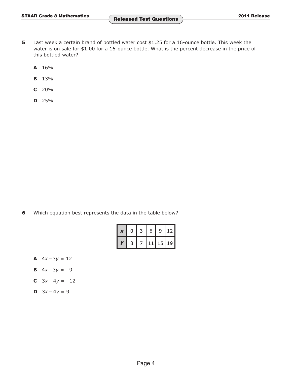- **5** Last week a certain brand of bottled water cost \$1.25 for a 16-ounce bottle. This week the water is on sale for \$1.00 for a 16-ounce bottle. What is the percent decrease in the price of this bottled water?
	- **A** 16%
	- **B** 13%
	- **C** 20%
	- **D** 25%

**6** Which equation best represents the data in the table below?

| $\boldsymbol{\mathsf{x}}$ | 0 | 3 | 6  | 9     | 12 |
|---------------------------|---|---|----|-------|----|
| V                         | 3 |   | 11 | 15 19 |    |

- **A**  $4x 3y = 12$
- **B**  $4x-3y = -9$
- **C**  $3x 4y = -12$
- **D**  $3x 4y = 9$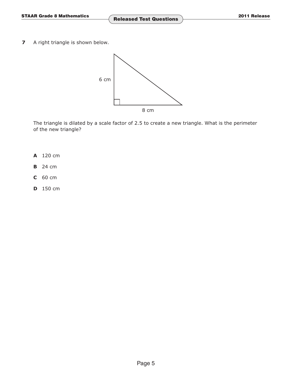**7** A right triangle is shown below.



The triangle is dilated by a scale factor of 2.5 to create a new triangle. What is the perimeter of the new triangle?

- **A** 120 cm
- **B** 24 cm
- **C** 60 cm
- **D** 150 cm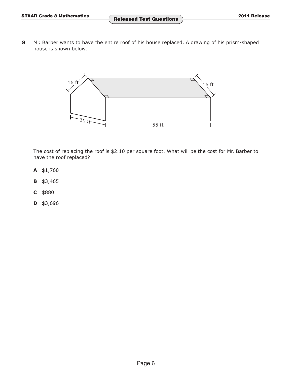**8** Mr. Barber wants to have the entire roof of his house replaced. A drawing of his prism-shaped house is shown below.



The cost of replacing the roof is \$2.10 per square foot. What will be the cost for Mr. Barber to have the roof replaced?

- **A** \$1,760
- **B** \$3,465
- **C** \$880
- **D** \$3,696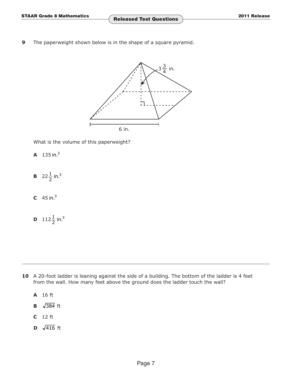**9** The paperweight shown below is in the shape of a square pyramid.



What is the volume of this paperweight?

- **A** 135 in.3
- **B**  $22\frac{1}{2}$  in.<sup>3</sup>
- **C**  $45 \text{ in.}^3$
- **D**  $112\frac{1}{2}$  in.<sup>3</sup>

- 10 A 20-foot ladder is leaning against the side of a building. The bottom of the ladder is 4 feet from the wall. How many feet above the ground does the ladder touch the wall?
	- **A** 16 ft
	- **B**  $\sqrt{384}$  ft
	- **C** 12 ft
	- **D**  $\sqrt{416}$  ft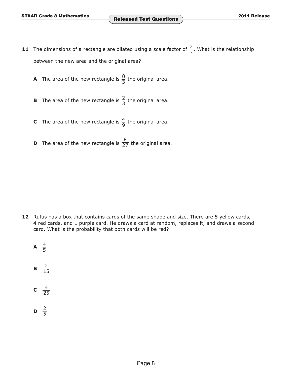- **11** The dimensions of a rectangle are dilated using a scale factor of  $\frac{2}{3}$ . What is the relationship between the new area and the original area?
	- **A** The area of the new rectangle is  $\frac{8}{3}$  the original area.
	- **B** The area of the new rectangle is  $\frac{2}{3}$  the original area.
	- **C** The area of the new rectangle is  $\frac{4}{9}$  the original area.
	- **D** The area of the new rectangle is  $\frac{8}{27}$  the original area.

- **12** Rufus has a box that contains cards of the same shape and size. There are 5 yellow cards, 4 red cards, and 1 purple card. He draws a card at random, replaces it, and draws a second card. What is the probability that both cards will be red?
	- **A**  $\frac{4}{5}$ **B**  $\frac{2}{15}$ **c**  $\frac{4}{25}$
	- **D**  $\frac{2}{5}$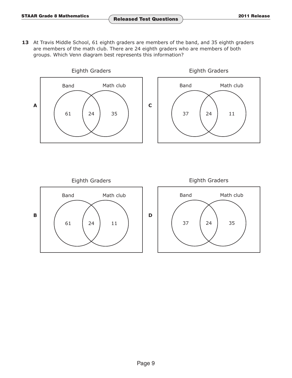13 At Travis Middle School, 61 eighth graders are members of the band, and 35 eighth graders are members of the math club. There are 24 eighth graders who are members of both groups. Which Venn diagram best represents this information?





Eighth Graders Band Math club **B**  $61 \t 24 \t 11$ Eighth Graders Band Math club **D** 37 24 35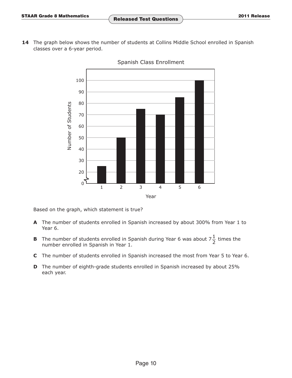14 The graph below shows the number of students at Collins Middle School enrolled in Spanish classes over a 6-year period.



Spanish Class Enrollment

Based on the graph, which statement is true?

- **A** The number of students enrolled in Spanish increased by about 300% from Year 1 to Year 6.
- **B** The number of students enrolled in Spanish during Year 6 was about  $7\frac{1}{2}$  times the number enrolled in Spanish in Year 1.
- **C** The number of students enrolled in Spanish increased the most from Year 5 to Year 6.
- **D** The number of eighth-grade students enrolled in Spanish increased by about 25% each year.